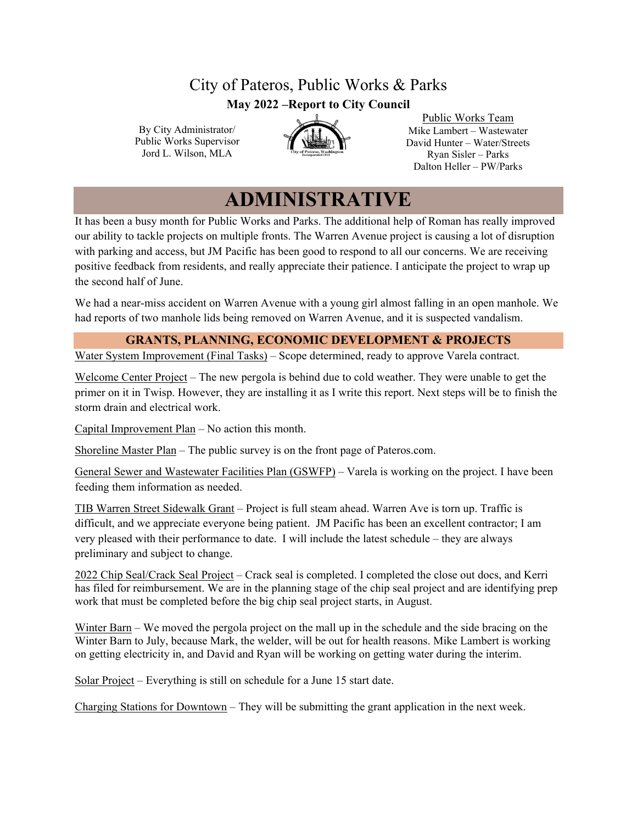## City of Pateros, Public Works & Parks **May 2022 –Report to City Council**

By City Administrator/ Public Works Supervisor Jord L. Wilson, MLA



Public Works Team Mike Lambert – Wastewater David Hunter – Water/Streets Ryan Sisler – Parks Dalton Heller – PW/Parks

# **ADMINISTRATIVE**

It has been a busy month for Public Works and Parks. The additional help of Roman has really improved our ability to tackle projects on multiple fronts. The Warren Avenue project is causing a lot of disruption with parking and access, but JM Pacific has been good to respond to all our concerns. We are receiving positive feedback from residents, and really appreciate their patience. I anticipate the project to wrap up the second half of June.

We had a near-miss accident on Warren Avenue with a young girl almost falling in an open manhole. We had reports of two manhole lids being removed on Warren Avenue, and it is suspected vandalism.

#### **GRANTS, PLANNING, ECONOMIC DEVELOPMENT & PROJECTS**

Water System Improvement (Final Tasks) – Scope determined, ready to approve Varela contract.

Welcome Center Project – The new pergola is behind due to cold weather. They were unable to get the primer on it in Twisp. However, they are installing it as I write this report. Next steps will be to finish the storm drain and electrical work.

Capital Improvement Plan – No action this month.

Shoreline Master Plan – The public survey is on the front page of Pateros.com.

General Sewer and Wastewater Facilities Plan (GSWFP) – Varela is working on the project. I have been feeding them information as needed.

TIB Warren Street Sidewalk Grant – Project is full steam ahead. Warren Ave is torn up. Traffic is difficult, and we appreciate everyone being patient. JM Pacific has been an excellent contractor; I am very pleased with their performance to date. I will include the latest schedule – they are always preliminary and subject to change.

2022 Chip Seal/Crack Seal Project – Crack seal is completed. I completed the close out docs, and Kerri has filed for reimbursement. We are in the planning stage of the chip seal project and are identifying prep work that must be completed before the big chip seal project starts, in August.

Winter Barn – We moved the pergola project on the mall up in the schedule and the side bracing on the Winter Barn to July, because Mark, the welder, will be out for health reasons. Mike Lambert is working on getting electricity in, and David and Ryan will be working on getting water during the interim.

Solar Project – Everything is still on schedule for a June 15 start date.

Charging Stations for Downtown – They will be submitting the grant application in the next week.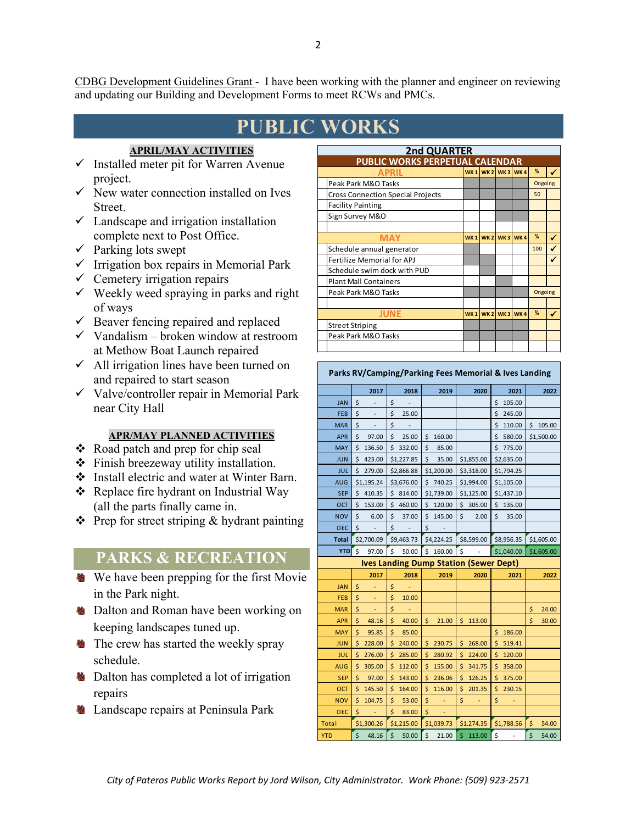CDBG Development Guidelines Grant - I have been working with the planner and engineer on reviewing and updating our Building and Development Forms to meet RCWs and PMCs.

# **PUBLIC WORKS**

#### **APRIL/MAY ACTIVITIES**

- $\checkmark$  Installed meter pit for Warren Avenue project.
- $\checkmark$  New water connection installed on Ives Street.
- $\checkmark$  Landscape and irrigation installation complete next to Post Office.
- $\checkmark$  Parking lots swept
- $\checkmark$  Irrigation box repairs in Memorial Park
- $\checkmark$  Cemetery irrigation repairs
- $\checkmark$  Weekly weed spraying in parks and right of ways
- $\checkmark$  Beaver fencing repaired and replaced
- $\checkmark$  Vandalism broken window at restroom at Methow Boat Launch repaired
- $\checkmark$  All irrigation lines have been turned on and repaired to start season
- $\checkmark$  Valve/controller repair in Memorial Park near City Hall

#### **APR/MAY PLANNED ACTIVITIES**

- ❖ Road patch and prep for chip seal
- Finish breezeway utility installation.
- Install electric and water at Winter Barn.
- ❖ Replace fire hydrant on Industrial Way (all the parts finally came in.
- $\triangle$  Prep for street striping & hydrant painting

## **PARKS & RECREATION**

- We have been prepping for the first Movie in the Park night.
- **B** Dalton and Roman have been working on keeping landscapes tuned up.
- **the crew has started the weekly spray** schedule.
- **b** Dalton has completed a lot of irrigation repairs
- **B** Landscape repairs at Peninsula Park

| 2nd QUARTER                              |     |  |                                 |                        |               |   |  |  |  |  |
|------------------------------------------|-----|--|---------------------------------|------------------------|---------------|---|--|--|--|--|
| PUBLIC WORKS PERPETUAL CALENDAR          |     |  |                                 |                        |               |   |  |  |  |  |
| <b>APRIL</b>                             |     |  |                                 | <b>WK1 WK2 WK3 WK4</b> | %             |   |  |  |  |  |
| Peak Park M&O Tasks                      |     |  |                                 |                        | Ongoing       |   |  |  |  |  |
| <b>Cross Connection Special Projects</b> |     |  |                                 |                        | 50            |   |  |  |  |  |
| <b>Facility Painting</b>                 |     |  |                                 |                        |               |   |  |  |  |  |
| Sign Survey M&O                          |     |  |                                 |                        |               |   |  |  |  |  |
|                                          |     |  |                                 |                        |               |   |  |  |  |  |
| <b>MAY</b>                               | WK1 |  | WK <sub>2</sub> WK <sub>3</sub> | WK4                    | $\frac{9}{6}$ | ✔ |  |  |  |  |
| Schedule annual generator                |     |  |                                 |                        | 100           |   |  |  |  |  |
| <b>Fertilize Memorial for APJ</b>        |     |  |                                 |                        |               |   |  |  |  |  |
| Schedule swim dock with PUD              |     |  |                                 |                        |               |   |  |  |  |  |
| <b>Plant Mall Containers</b>             |     |  |                                 |                        |               |   |  |  |  |  |
| Peak Park M&O Tasks                      |     |  |                                 |                        | Ongoing       |   |  |  |  |  |
|                                          |     |  |                                 |                        |               |   |  |  |  |  |
| <b>JUNE</b>                              | WK1 |  | <b>WK2 WK3 WK4</b>              |                        | $\frac{9}{6}$ | ✔ |  |  |  |  |
| <b>Street Striping</b>                   |     |  |                                 |                        |               |   |  |  |  |  |
| Peak Park M&O Tasks                      |     |  |                                 |                        |               |   |  |  |  |  |
|                                          |     |  |                                 |                        |               |   |  |  |  |  |

| Parks RV/Camping/Parking Fees Memorial & Ives Landing |              |              |              |                                               |              |              |  |  |  |  |
|-------------------------------------------------------|--------------|--------------|--------------|-----------------------------------------------|--------------|--------------|--|--|--|--|
|                                                       | 2017         | 2018         | 2019         | 2020                                          | 2021         | 2022         |  |  |  |  |
| <b>JAN</b>                                            | \$           | \$           |              |                                               | 105.00<br>\$ |              |  |  |  |  |
| FEB                                                   | \$           | \$<br>25.00  |              |                                               | 245.00<br>\$ |              |  |  |  |  |
| <b>MAR</b>                                            | \$           | \$           |              |                                               | \$<br>110.00 | Ś.<br>105.00 |  |  |  |  |
| <b>APR</b>                                            | \$<br>97.00  | \$<br>25.00  | 160.00<br>\$ |                                               | \$<br>580.00 | \$1,500.00   |  |  |  |  |
| <b>MAY</b>                                            | \$<br>136.50 | \$<br>332.00 | \$<br>85.00  |                                               | 775.00<br>\$ |              |  |  |  |  |
| <b>JUN</b>                                            | \$<br>423.00 | \$1,227.85   | \$<br>35.00  | \$1,855.00                                    | \$2,635.00   |              |  |  |  |  |
| <b>JUL</b>                                            | \$<br>279.00 | \$2,866.88   | \$1,200.00   | \$3,318.00                                    | \$1,794.25   |              |  |  |  |  |
| <b>AUG</b>                                            | \$1,195.24   | \$3,676.00   | \$<br>740.25 | \$1,994.00                                    | \$1,105.00   |              |  |  |  |  |
| <b>SEP</b>                                            | Ś<br>410.35  | 814.00<br>Ś. | \$1,739.00   | \$1,125.00                                    | \$1,437.10   |              |  |  |  |  |
| OCT                                                   | \$<br>153.00 | \$<br>460.00 | 120.00<br>\$ | \$305.00                                      | \$135.00     |              |  |  |  |  |
| <b>NOV</b>                                            | \$<br>6.00   | \$<br>37.00  | \$<br>145.00 | \$<br>2.00                                    | \$<br>35.00  |              |  |  |  |  |
| <b>DEC</b>                                            | \$           | \$           | \$           |                                               |              |              |  |  |  |  |
| <b>Total</b>                                          | \$2,700.09   | \$9,463.73   | \$4,224.25   | \$8,599.00                                    | \$8,956.35   | \$1,605.00   |  |  |  |  |
| <b>YTD</b>                                            | \$<br>97.00  | Ś<br>50.00   | \$160.00     | \$                                            | \$1,040.00   | \$1,605.00   |  |  |  |  |
|                                                       |              |              |              | <b>Ives Landing Dump Station (Sewer Dept)</b> |              |              |  |  |  |  |
|                                                       | 2017         | 2018         | 2019         | 2020                                          | 2021         | 2022         |  |  |  |  |
| <b>JAN</b>                                            | \$           | \$           |              |                                               |              |              |  |  |  |  |
| FEB                                                   |              |              |              |                                               |              |              |  |  |  |  |
| <b>MAR</b>                                            | \$           | \$<br>10.00  |              |                                               |              |              |  |  |  |  |
|                                                       | \$<br>÷      | \$<br>÷      |              |                                               |              | \$<br>24.00  |  |  |  |  |
| <b>APR</b>                                            | \$<br>48.16  | \$<br>40.00  | \$<br>21.00  | \$<br>113.00                                  |              | \$<br>30.00  |  |  |  |  |
| <b>MAY</b>                                            | \$<br>95.85  | Ś<br>85.00   |              |                                               | Ś<br>186.00  |              |  |  |  |  |
| <b>JUN</b>                                            | \$<br>228.00 | \$<br>240.00 | 230.75<br>\$ | \$<br>268.00                                  | \$<br>519.41 |              |  |  |  |  |
| <b>JUL</b>                                            | \$<br>276.00 | \$<br>285.00 | \$<br>280.92 | \$<br>224.00                                  | \$<br>120.00 |              |  |  |  |  |
| <b>AUG</b>                                            | \$<br>305.00 | 112.00<br>Ś  | 155.00<br>Ś  | \$<br>341.75                                  | \$<br>358.00 |              |  |  |  |  |
| <b>SEP</b>                                            | \$<br>97.00  | \$<br>143.00 | \$<br>236.06 | \$<br>126.25                                  | \$<br>375.00 |              |  |  |  |  |
| OCT                                                   | \$<br>145.50 | Ś<br>164.00  | Ś<br>116.00  | \$<br>201.35                                  | \$<br>230.15 |              |  |  |  |  |
| <b>NOV</b>                                            | \$<br>104.75 | \$<br>53.00  | \$           | \$                                            | \$           |              |  |  |  |  |
| <b>DEC</b>                                            | \$           | \$<br>83.00  | \$           |                                               |              |              |  |  |  |  |
| <b>Total</b>                                          | \$1,300.26   | \$1,215.00   | \$1,039.73   | \$1,274.35                                    | \$1,788.56   | Ś<br>54.00   |  |  |  |  |

City of Pateros Public Works Report by Jord Wilson, City Administrator. Work Phone: (509) 923-2571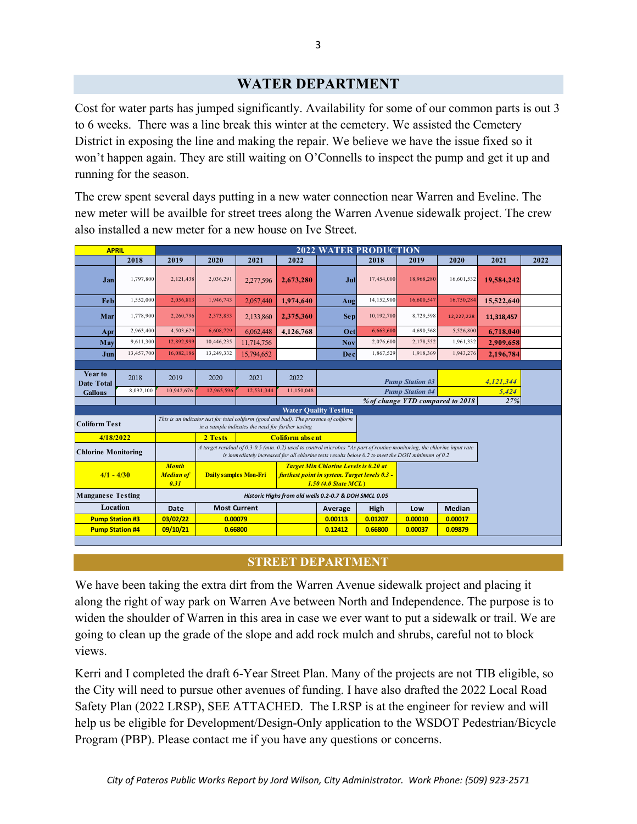## **WATER DEPARTMENT**

Cost for water parts has jumped significantly. Availability for some of our common parts is out 3 to 6 weeks. There was a line break this winter at the cemetery. We assisted the Cemetery District in exposing the line and making the repair. We believe we have the issue fixed so it won't happen again. They are still waiting on O'Connells to inspect the pump and get it up and running for the season.

The crew spent several days putting in a new water connection near Warren and Eveline. The new meter will be availble for street trees along the Warren Avenue sidewalk project. The crew also installed a new meter for a new house on Ive Street.

|                                                                                                                                                                                                     | <b>APRIL</b>                                                                                                                                                                                                                                                   |                                          | <b>2022 WATER PRODUCTION</b> |                              |                                                                                                                              |            |            |                                  |            |            |      |  |
|-----------------------------------------------------------------------------------------------------------------------------------------------------------------------------------------------------|----------------------------------------------------------------------------------------------------------------------------------------------------------------------------------------------------------------------------------------------------------------|------------------------------------------|------------------------------|------------------------------|------------------------------------------------------------------------------------------------------------------------------|------------|------------|----------------------------------|------------|------------|------|--|
|                                                                                                                                                                                                     | 2018                                                                                                                                                                                                                                                           | 2019                                     | 2020                         | 2021                         | 2022                                                                                                                         |            | 2018       | 2019                             | 2020       | 2021       | 2022 |  |
| Jan                                                                                                                                                                                                 | 1,797,800                                                                                                                                                                                                                                                      | 2,121,438                                | 2,036,291                    | 2,277,596                    | 2,673,280                                                                                                                    | Jul        | 17,454,000 | 18,968,280                       | 16,601,532 | 19,584,242 |      |  |
| Feb                                                                                                                                                                                                 | 1,552,000                                                                                                                                                                                                                                                      | 2,056,813                                | 1,946,743                    | 2,057,440                    | 1.974.640                                                                                                                    | Aug        | 14,152,900 | 16,600,547                       | 16,750,284 | 15.522.640 |      |  |
| Mar                                                                                                                                                                                                 | 1,778,900                                                                                                                                                                                                                                                      | 2,260,796                                | 2,373,833                    | 2,133,860                    | 2.375.360                                                                                                                    | <b>Sep</b> | 10,192,700 | 8,729,598                        | 12,227,228 | 11,318,457 |      |  |
| Apr                                                                                                                                                                                                 | 2,963,400                                                                                                                                                                                                                                                      | 4,503,629                                | 6,608,729                    | 6,062,448                    | 4,126,768                                                                                                                    | Oct        | 6,663,600  | 4,690,568                        | 5,526,800  | 6,718,040  |      |  |
| May                                                                                                                                                                                                 | 9,611,300                                                                                                                                                                                                                                                      | 12,892,999                               | 10,446,235                   | 11,714,756                   |                                                                                                                              | <b>Nov</b> | 2,076,600  | 2,178,552                        | 1,961,332  | 2,909,658  |      |  |
| Jun                                                                                                                                                                                                 | 13,457,700                                                                                                                                                                                                                                                     | 16.082.186                               | 13,249,332                   | 15,794,652                   |                                                                                                                              | Dec        | 1,867,529  | 1,918,369                        | 1,943,276  | 2.196.784  |      |  |
|                                                                                                                                                                                                     |                                                                                                                                                                                                                                                                |                                          |                              |                              |                                                                                                                              |            |            |                                  |            |            |      |  |
| Year to<br><b>Date Total</b>                                                                                                                                                                        | 2018                                                                                                                                                                                                                                                           | 2019                                     | 2020                         | 2021                         | 2022                                                                                                                         |            |            | <b>Pump Station #3</b>           | 4,121,344  |            |      |  |
| <b>Gallons</b>                                                                                                                                                                                      | 8,092,100                                                                                                                                                                                                                                                      | 10,942,676                               | 12,965,596                   | 12,531,344                   | 11,150,048                                                                                                                   |            |            | <b>Pump Station #4</b>           | 5.424      |            |      |  |
|                                                                                                                                                                                                     |                                                                                                                                                                                                                                                                |                                          |                              |                              |                                                                                                                              |            |            | % of change YTD compared to 2018 | 27%        |            |      |  |
| <b>Water Quality Testing</b><br>This is an indicator test for total coliform (good and bad). The presence of coliform<br><b>Coliform Test</b><br>in a sample indicates the need for further testing |                                                                                                                                                                                                                                                                |                                          |                              |                              |                                                                                                                              |            |            |                                  |            |            |      |  |
| 4/18/2022                                                                                                                                                                                           |                                                                                                                                                                                                                                                                | <b>Coliform absent</b><br>2 Tests        |                              |                              |                                                                                                                              |            |            |                                  |            |            |      |  |
|                                                                                                                                                                                                     | A target residual of 0.3-0.5 (min. 0.2) used to control microbes *As part of routine monitoring, the chlorine input rate<br><b>Chlorine Monitoring</b><br>is immediately increased for all chlorine tests results below $0.2$ to meet the DOH minimum of $0.2$ |                                          |                              |                              |                                                                                                                              |            |            |                                  |            |            |      |  |
| $4/1 - 4/30$                                                                                                                                                                                        |                                                                                                                                                                                                                                                                | <b>Month</b><br><b>Median of</b><br>0.31 |                              | <b>Daily samples Mon-Fri</b> | <b>Target Min Chlorine Levels is 0.20 at</b><br>furthest point in system. Target levels 0.3 -<br><b>1.50 (4.0 State MCL)</b> |            |            |                                  |            |            |      |  |
| <b>Manganese Testing</b><br>Historic Highs from old wells 0.2-0.7 & DOH SMCL 0.05                                                                                                                   |                                                                                                                                                                                                                                                                |                                          |                              |                              |                                                                                                                              |            |            |                                  |            |            |      |  |
| Location                                                                                                                                                                                            |                                                                                                                                                                                                                                                                | Date                                     |                              | <b>Most Current</b>          |                                                                                                                              | Average    | High       | Low                              | Median     |            |      |  |
| <b>Pump Station #3</b>                                                                                                                                                                              |                                                                                                                                                                                                                                                                | 03/02/22                                 |                              | 0.00079                      |                                                                                                                              | 0.00113    | 0.01207    | 0.00010                          | 0.00017    |            |      |  |
| <b>Pump Station #4</b><br>09/10/21<br>0.66800                                                                                                                                                       |                                                                                                                                                                                                                                                                |                                          |                              |                              |                                                                                                                              | 0.12412    | 0.66800    | 0.00037                          | 0.09879    |            |      |  |

### **STREET DEPARTMENT**

We have been taking the extra dirt from the Warren Avenue sidewalk project and placing it along the right of way park on Warren Ave between North and Independence. The purpose is to widen the shoulder of Warren in this area in case we ever want to put a sidewalk or trail. We are going to clean up the grade of the slope and add rock mulch and shrubs, careful not to block views.

Kerri and I completed the draft 6-Year Street Plan. Many of the projects are not TIB eligible, so the City will need to pursue other avenues of funding. I have also drafted the 2022 Local Road Safety Plan (2022 LRSP), SEE ATTACHED. The LRSP is at the engineer for review and will help us be eligible for Development/Design-Only application to the WSDOT Pedestrian/Bicycle Program (PBP). Please contact me if you have any questions or concerns.